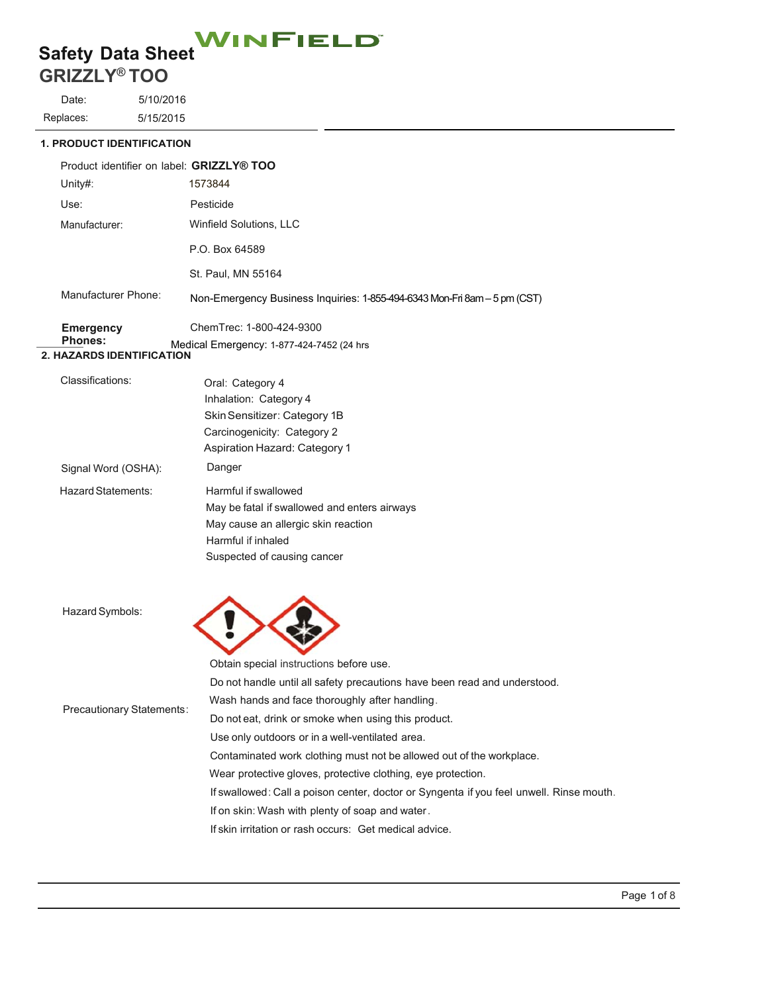# Safety Data Sheet<br>CRIPTI VALUATE

# **GRIZZLY® TOO**

Date: Replaces: 5/10/2016 5/15/2015

**1. PRODUCT IDENTIFICATION**

| Product identifier on label: GRIZZLY® TOO   |                     |                                                                           |
|---------------------------------------------|---------------------|---------------------------------------------------------------------------|
|                                             | Unity#:             | 1573844                                                                   |
|                                             | Use:                | Pesticide                                                                 |
|                                             | Manufacturer:       | Winfield Solutions, LLC                                                   |
|                                             |                     | P.O. Box 64589                                                            |
|                                             |                     | St. Paul, MN 55164                                                        |
|                                             | Manufacturer Phone: | Non-Emergency Business Inquiries: 1-855-494-6343 Mon-Fri 8am - 5 pm (CST) |
|                                             | <b>Emergency</b>    | ChemTrec: 1-800-424-9300                                                  |
| Phones:<br><b>2. HAZARDS IDENTIFICATION</b> |                     | Medical Emergency: 1-877-424-7452 (24 hrs                                 |
|                                             | Classifications:    | Oral: Category 4                                                          |
|                                             |                     | Inhalation: Category 4                                                    |
|                                             |                     | Skin Sensitizer: Category 1B                                              |
|                                             |                     | Carcinogenicity: Category 2                                               |
|                                             |                     | <b>Aspiration Hazard: Category 1</b>                                      |
|                                             | Signal Word (OSHA): | Danger                                                                    |
|                                             | Hazard Statements:  | Harmful if swallowed                                                      |
|                                             |                     |                                                                           |

| <u>iazaiu olaluiluus.</u> | <u>Fiallituu II Swallowcu</u>                |
|---------------------------|----------------------------------------------|
|                           | May be fatal if swallowed and enters airways |
|                           | May cause an allergic skin reaction          |
|                           | Harmful if inhaled                           |
|                           | Suspected of causing cancer                  |

 $\sum$ 

Hazard Symbols:

|                                  | Obtain special instructions before use.                                                 |
|----------------------------------|-----------------------------------------------------------------------------------------|
|                                  | Do not handle until all safety precautions have been read and understood.               |
| <b>Precautionary Statements:</b> | Wash hands and face thoroughly after handling.                                          |
|                                  | Do not eat, drink or smoke when using this product.                                     |
|                                  | Use only outdoors or in a well-ventilated area.                                         |
|                                  | Contaminated work clothing must not be allowed out of the workplace.                    |
|                                  | Wear protective gloves, protective clothing, eye protection.                            |
|                                  | If swallowed: Call a poison center, doctor or Syngenta if you feel unwell. Rinse mouth. |
|                                  | If on skin: Wash with plenty of soap and water.                                         |
|                                  |                                                                                         |

If skin irritation or rash occurs: Get medical advice.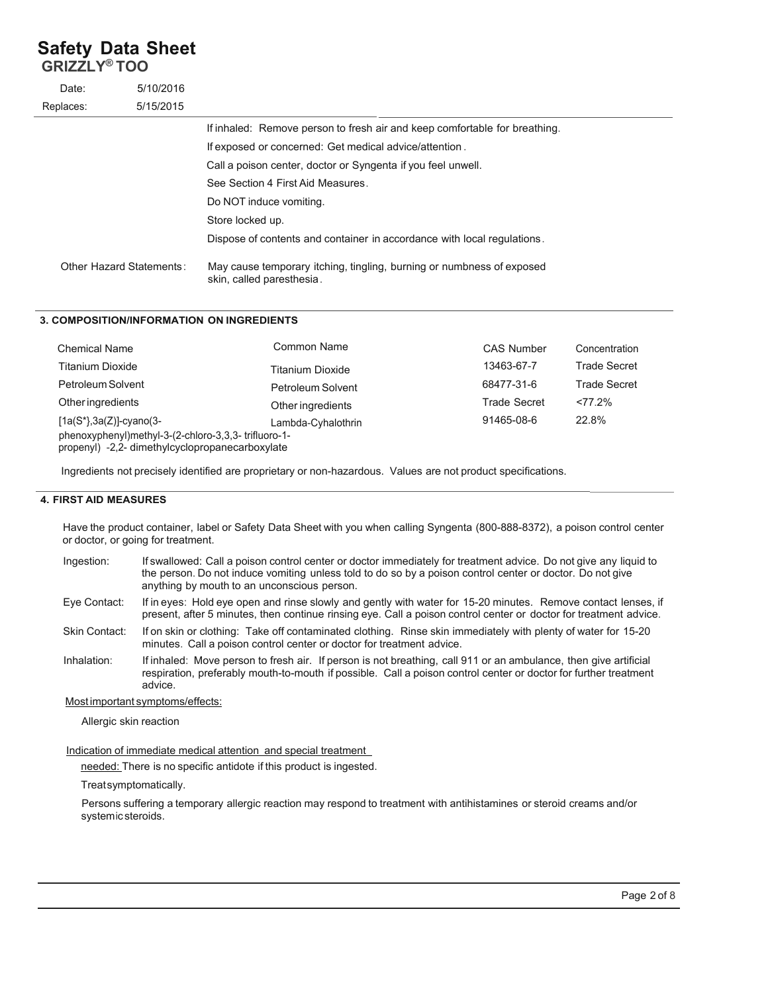# **Safety Data Sheet**

**GRIZZLY® TOO**

| Date:                    | 5/10/2016 |                                                                                                    |
|--------------------------|-----------|----------------------------------------------------------------------------------------------------|
| Replaces:                | 5/15/2015 |                                                                                                    |
|                          |           | If inhaled: Remove person to fresh air and keep comfortable for breathing.                         |
|                          |           | If exposed or concerned: Get medical advice/attention.                                             |
|                          |           | Call a poison center, doctor or Syngenta if you feel unwell.                                       |
|                          |           | See Section 4 First Aid Measures.                                                                  |
|                          |           | Do NOT induce vomiting.                                                                            |
|                          |           | Store locked up.                                                                                   |
|                          |           | Dispose of contents and container in accordance with local regulations.                            |
| Other Hazard Statements: |           | May cause temporary itching, tingling, burning or numbness of exposed<br>skin, called paresthesia. |

#### **3. COMPOSITION/INFORMATION ON INGREDIENTS**

| <b>Chemical Name</b>                                                                                   | Common Name             | <b>CAS Number</b>   | Concentration       |  |
|--------------------------------------------------------------------------------------------------------|-------------------------|---------------------|---------------------|--|
| <b>Titanium Dioxide</b>                                                                                | <b>Titanium Dioxide</b> | 13463-67-7          | <b>Trade Secret</b> |  |
| Petroleum Solvent                                                                                      | Petroleum Solvent       | 68477-31-6          | <b>Trade Secret</b> |  |
| Other ingredients                                                                                      | Other ingredients       | <b>Trade Secret</b> | $277.2\%$           |  |
| $[1a(S^*), 3a(Z)]$ -cyano(3-                                                                           | Lambda-Cyhalothrin      | 91465-08-6          | 22.8%               |  |
| phenoxyphenyl)methyl-3-(2-chloro-3,3,3-trifluoro-1-<br>propenyl) -2,2- dimethylcyclopropanecarboxylate |                         |                     |                     |  |

Ingredients not precisely identified are proprietary or non-hazardous. Values are not product specifications.

#### **4. FIRST AID MEASURES**

Have the product container, label or Safety Data Sheet with you when calling Syngenta (800-888-8372), a poison control center or doctor, or going for treatment.

| Ingestion: | If swallowed: Call a poison control center or doctor immediately for treatment advice. Do not give any liquid to |
|------------|------------------------------------------------------------------------------------------------------------------|
|            | the person. Do not induce vomiting unless told to do so by a poison control center or doctor. Do not give        |
|            | anything by mouth to an unconscious person.                                                                      |

Eye Contact: If in eyes: Hold eye open and rinse slowly and gently with water for 15-20 minutes. Remove contact lenses, if present, after 5 minutes, then continue rinsing eye. Call a poison control center or doctor for treatment advice.

Skin Contact: If on skin or clothing: Take off contaminated clothing. Rinse skin immediately with plenty of water for 15-20 minutes. Call a poison control center or doctor for treatment advice.

Inhalation: If inhaled: Move person to fresh air. If person is not breathing, call 911 or an ambulance, then give artificial respiration, preferably mouth-to-mouth if possible. Call a poison control center or doctor for further treatment advice.

#### Most important symptoms/effects:

Allergic skin reaction

#### Indication of immediate medical attention and special treatment

needed: There is no specific antidote if this product is ingested.

Treat symptomatically.

Persons suffering a temporary allergic reaction may respond to treatment with antihistamines or steroid creams and/or system ic steroids.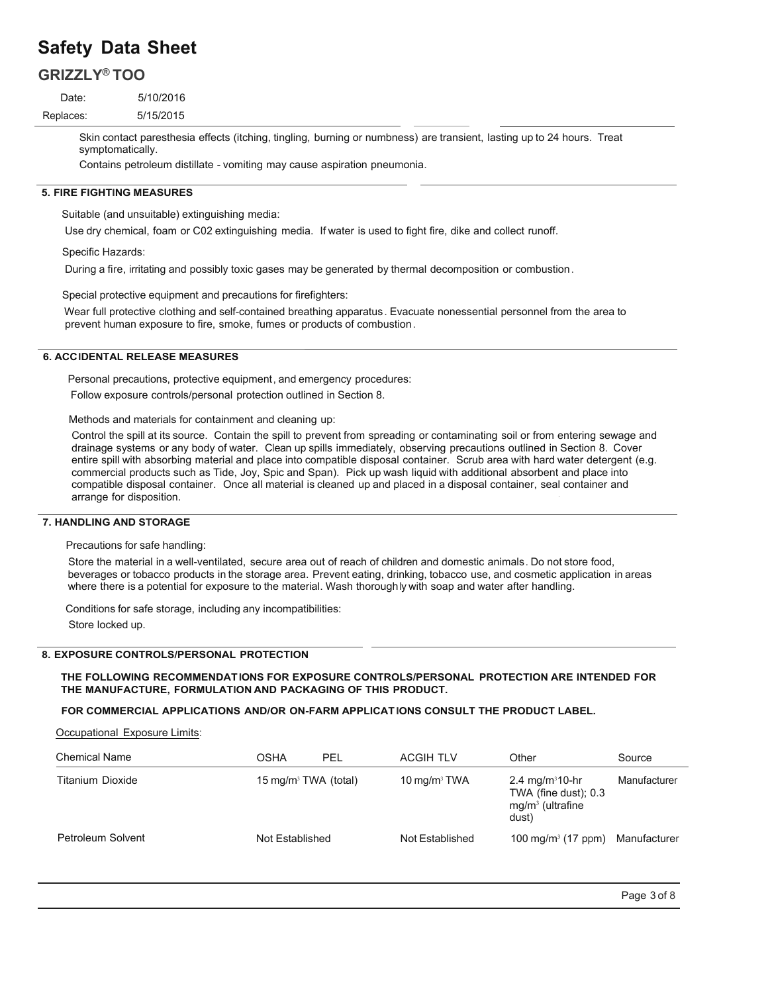# **Safety Data Sheet**

# **GRIZZLY® TOO**

Date: Replaces: 5/10/2016 5/15/2015

> Skin contact paresthesia effects (itching, tingling, burning or numbness) are transient, lasting up to 24 hours. Treat symptomatically.

Contains petroleum distillate - vomiting may cause aspiration pneumonia.

#### **5. FIRE FIGHTING MEASURES**

Suitable (and unsuitable) extinguishing media:

Use dry chemical, foam or C02 extinguishing media. If water is used to fight fire, dike and collect runoff.

Specific Hazards:

During a fire, irritating and possibly toxic gases may be generated by thermal decomposition or combustion .

Special protective equipment and precautions for firefighters:

Wear full protective clothing and self-contained breathing apparatus . Evacuate nonessential personnel from the area to prevent human exposure to fire, smoke, fumes or products of combustion .

#### **6. ACC IDENTAL RELEASE MEASURES**

Personal precautions, protective equipment, and emergency procedures:

Follow exposure controls/personal protection outlined in Section 8.

Methods and materials for containment and cleaning up:

Control the spill at its source. Contain the spill to prevent from spreading or contaminating soil or from entering sewage and drainage systems or any body of water. Clean up spills immediately, observing precautions outlined in Section 8. Cover entire spill with absorbing material and place into compatible disposal container. Scrub area with hard water detergent (e.g. commercial products such as Tide, Joy, Spic and Span). Pick up wash liquid with additional absorbent and place into compatible disposal container. Once all material is cleaned up and placed in a disposal container, seal container and arrange for disposition.

#### **7. HANDLING AND STORAGE**

Precautions for safe handling:

Store the material in a well-ventilated, secure area out of reach of children and domestic animals . Do not store food, beverages or tobacco products in the storage area. Prevent eating, drinking, tobacco use, and cosmetic application in areas where there is a potential for exposure to the material. Wash thoroughly with soap and water after handling.

Conditions for safe storage, including any incompatibilities:

Store locked up.

#### **8. EXPOSURE CONTROLS/PERSONAL PROTECTION**

#### **THE FOLLOWING RECOMMENDAT IONS FOR EXPOSURE CONTROLS/PERSONAL PROTECTION ARE INTENDED FOR THE MANUFACTURE, FORMULATION AND PACKAGING OF THIS PRODUCT.**

**FOR COMMERCIAL APPLICATIONS AND/OR ON-FARM APPLICAT IONS CONSULT THE PRODUCT LABEL.**

**Occupational Exposure Limits:** 

| <b>Chemical Name</b> | OSHA                             | PEL | <b>ACGIH TLV</b>         | Other                                                                                | Source       |
|----------------------|----------------------------------|-----|--------------------------|--------------------------------------------------------------------------------------|--------------|
| Titanium Dioxide     | 15 mg/m <sup>3</sup> TWA (total) |     | 10 mg/m <sup>3</sup> TWA | 2.4 mg/m <sup>3</sup> 10-hr<br>TWA (fine dust); $0.3$<br>$mg/m3$ (ultrafine<br>dust) | Manufacturer |
| Petroleum Solvent    | Not Established                  |     | Not Established          | 100 mg/m <sup>3</sup> (17 ppm) Manufacturer                                          |              |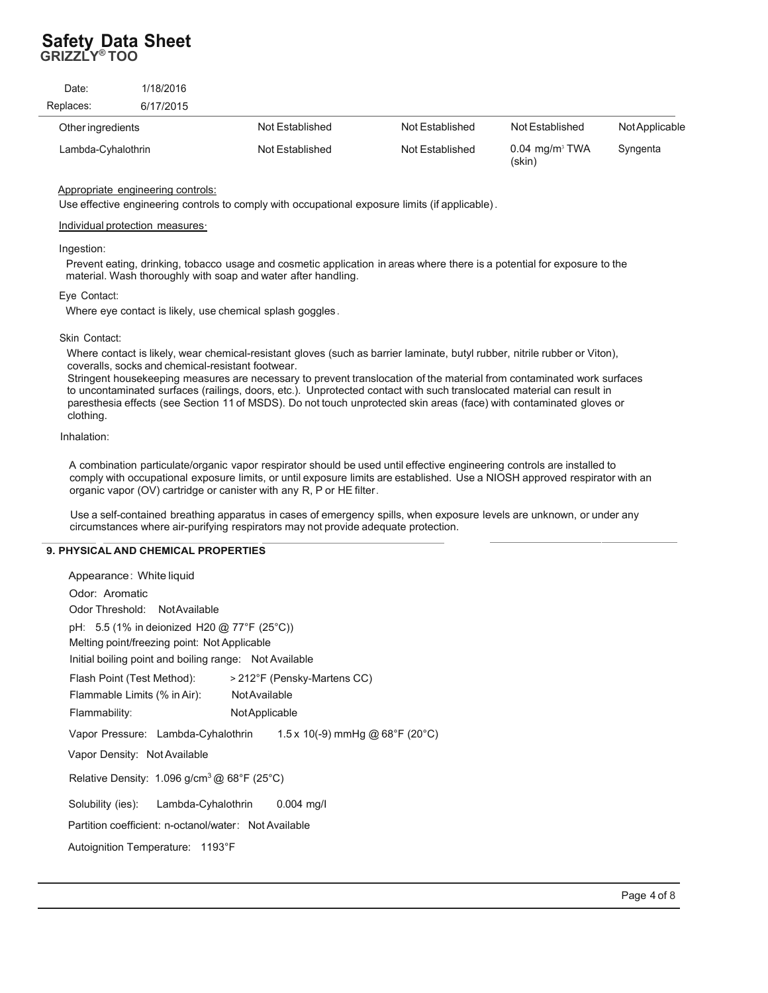## **Safety Data Sheet GRIZZLY® TOO**

| Date:              | 1/18/2016 |                 |                 |                                        |                       |
|--------------------|-----------|-----------------|-----------------|----------------------------------------|-----------------------|
| Replaces:          | 6/17/2015 |                 |                 |                                        |                       |
| Other ingredients  |           | Not Established | Not Established | Not Established                        | <b>Not Applicable</b> |
| Lambda-Cyhalothrin |           | Not Established | Not Established | $0.04$ mg/m <sup>3</sup> TWA<br>(skin) | Syngenta              |

#### Appropriate engineering controls:

Use effective engineering controls to comply with occupational exposure limits (if applicable) .

#### Individual protection measures.

#### Ingestion:

Prevent eating, drinking, tobacco usage and cosmetic application in areas where there is a potential for exposure to the material. Wash thoroughly with soap and water after handling.

#### Eye Contact:

Where eye contact is likely, use chemical splash goggles .

#### Skin Contact:

Where contact is likely, wear chemical-resistant gloves (such as barrier laminate, butyl rubber, nitrile rubber or Viton), coveralls, socks and chemical-resistant footwear.

Stringent housekeeping measures are necessary to prevent translocation of the material from contaminated work surfaces to uncontaminated surfaces (railings, doors, etc.). Unprotected contact with such translocated material can result in paresthesia effects (see Section 11 of MSDS). Do not touch unprotected skin areas (face) with contaminated gloves or clothing.

#### Inhalation:

A combination particulate/organic vapor respirator should be used until effective engineering controls are installed to comply with occupational exposure limits, or until exposure limits are established. Use a NIOSH approved respirator with an organic vapor (OV) cartridge or canister with any R, P or HE filter .

Use a self-contained breathing apparatus in cases of emergency spills, when exposure levels are unknown, or under any circumstances where air-purifying respirators may not provide adequate protection.

#### **9. PHYSICAL AND CHEMICAL PROPERTIES**

| Appearance: White liquid                                                                    |  |  |  |  |
|---------------------------------------------------------------------------------------------|--|--|--|--|
| Odor: Aromatic                                                                              |  |  |  |  |
| Odor Threshold: Not Available                                                               |  |  |  |  |
| pH: 5.5 (1% in deionized H20 @ 77°F (25°C))<br>Melting point/freezing point: Not Applicable |  |  |  |  |
| Initial boiling point and boiling range: Not Available                                      |  |  |  |  |
| > 212°F (Pensky-Martens CC)<br>Flash Point (Test Method):                                   |  |  |  |  |
| <b>Not Available</b><br>Flammable Limits (% in Air):                                        |  |  |  |  |
| Flammability:<br>NotApplicable                                                              |  |  |  |  |
| Vapor Pressure: Lambda-Cyhalothrin $1.5 \times 10(-9)$ mmHg @ 68°F (20°C)                   |  |  |  |  |
| Vapor Density: Not Available                                                                |  |  |  |  |
| Relative Density: 1.096 $q/cm^3$ @ 68°F (25°C)                                              |  |  |  |  |
| Solubility (ies): Lambda-Cyhalothrin 0.004 mg/l                                             |  |  |  |  |
| Partition coefficient: n-octanol/water: Not Available                                       |  |  |  |  |
| Autoignition Temperature: 1193°F                                                            |  |  |  |  |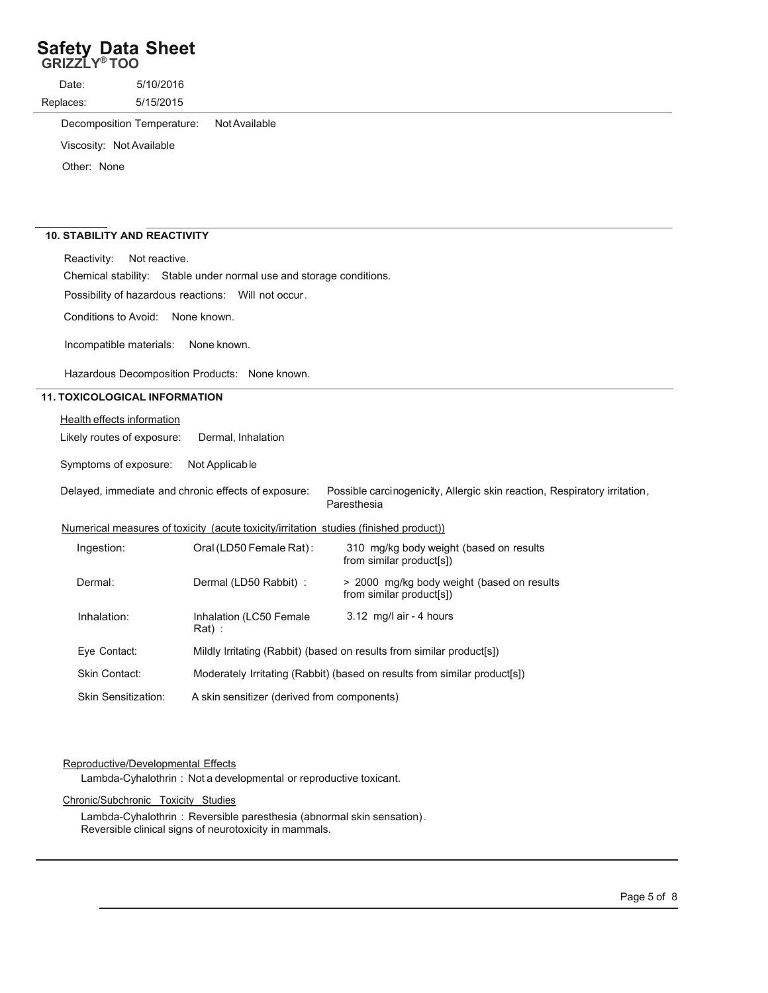# **Safety Data Sheet GRIZZLY® TOO**

Date: Replaces: 5/10/2016 5/15/2015

Decomposition Temperature: Not Available

Viscosity: Not Available

Other: None

### **10. STABILITY AND REACTIVITY**

Reactivity: Not reactive.

Chemical stability: Stable under normal use and storage conditions.

Possibility of hazardous reactions: Will not occur .

Conditions to Avoid: None known.

Incompatible materials: None known.

Hazardous Decomposition Products: None known.

#### **11. TOXICOLOGICAL INFORMATION**

**Health effects information** 

Likely routes of exposure: Dermal, Inhalation

Symptoms of exposure: Not Applicab le

Delayed, immediate and chronic effects of exposure: Possible carcinogenicity, Allergic skin reaction, Respiratory irritation, Paresthesia

#### Numerical measures of toxicity (acute toxicity/irritation studies (finished product))

| Ingestion:          | Oral (LD50 Female Rat):                                                   | 310 mg/kg body weight (based on results<br>from similar product[s])    |  |
|---------------------|---------------------------------------------------------------------------|------------------------------------------------------------------------|--|
| Dermal:             | Dermal (LD50 Rabbit) :                                                    | > 2000 mg/kg body weight (based on results<br>from similar product[s]) |  |
| Inhalation:         | Inhalation (LC50 Female<br>$Rat)$ :                                       | 3.12 mg/l air - 4 hours                                                |  |
| Eve Contact:        | Mildly Irritating (Rabbit) (based on results from similar product[s])     |                                                                        |  |
| Skin Contact:       | Moderately Irritating (Rabbit) (based on results from similar product[s]) |                                                                        |  |
| Skin Sensitization: | A skin sensitizer (derived from components)                               |                                                                        |  |

#### Reproductive/Developmental Effects

Lambda-Cyhalothrin : Not a developmental or reproductive toxicant.

#### Chronic/Subchronic Toxicity Studies

Lambda-Cyhalothrin : Reversible paresthesia (abnormal skin sensation) . Reversible clinical signs of neurotoxicity in mammals.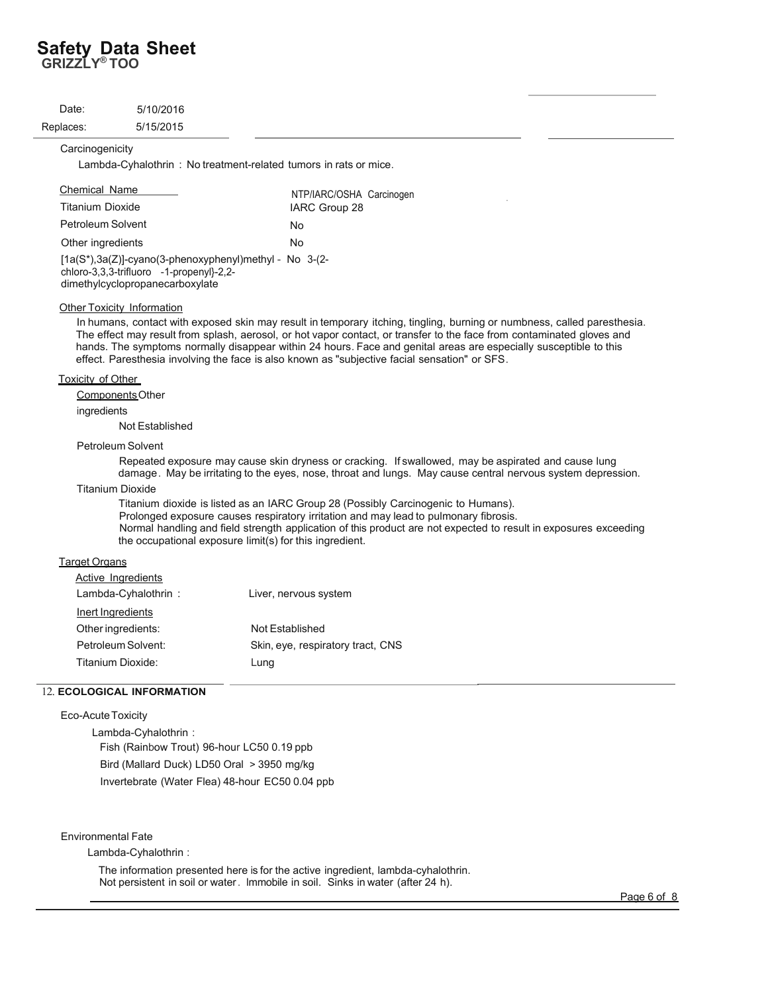# **Safety Data Sheet GRIZZLY® TOO**

| Date:     | 5/10/2016 |
|-----------|-----------|
| Replaces: | 5/15/2015 |

#### **Carcinogenicity**

Lambda-Cyhalothrin : No treatment-related tumors in rats or mice.

| <b>Chemical Name</b>                                       | NTP/IARC/OSHA Carcinogen |
|------------------------------------------------------------|--------------------------|
| Titanium Dioxide                                           | IARC Group 28            |
| Petroleum Solvent                                          | No                       |
| Other ingredients                                          | No.                      |
| $[1a(S^*)]$ 3a(7)]-cvano(3-phenoxyphenyl)methyl - No 3-(2- |                          |

iyi)metriyi chloro-3,3,3-trifluoro -1-propenyl}-2,2 dimethylcyclopropanecarboxylate

#### Other Toxicity Information

In humans, contact with exposed skin may result in temporary itching, tingling, burning or numbness, called paresthesia. The effect may result from splash, aerosol, or hot vapor contact, or transfer to the face from contaminated gloves and hands. The symptoms normally disappear within 24 hours. Face and genital areas are especially susceptible to this effect. Paresthesia involving the face is also known as "subjective facial sensation" or SFS.

#### Toxicity of Other

Components Other

#### ingredients

Not Established

#### Petroleum Solvent

Repeated exposure may cause skin dryness or cracking. If swallowed, may be aspirated and cause lung damage . May be irritating to the eyes, nose, throat and lungs. May cause central nervous system depression.

#### Titanium Dioxide

Titanium dioxide is listed as an IARC Group 28 (Possibly Carcinogenic to Humans). Prolonged exposure causes respiratory irritation and may lead to pulmonary fibrosis. Normal handling and field strength application of this product are not expected to result in exposures exceeding the occupational exposure limit(s) for this ingredient.

#### **Target Organs**

| Active Ingredients  |                                   |
|---------------------|-----------------------------------|
| Lambda-Cyhalothrin: | Liver, nervous system             |
| Inert Ingredients   |                                   |
| Other ingredients:  | Not Established                   |
| Petroleum Solvent:  | Skin, eye, respiratory tract, CNS |
| Titanium Dioxide:   | Lung                              |

#### 12. **ECOLOGICAL INFORMATION**

#### Eco-Acute Toxicity

 Lambda-Cyhalothrin : Fish (Rainbow Trout) 96-hour LC50 0.19 ppb Bird (Mallard Duck) LD50 Oral > 3950 mg/kg Invertebrate (Water Flea) 48-hour EC50 0.04 ppb

#### Environmental Fate

Lambda-Cyhalothrin :

The information presented here is for the active ingredient, lambda-cyhalothrin. Not persistent in soil or water. Immobile in soil. Sinks in water (after 24 h).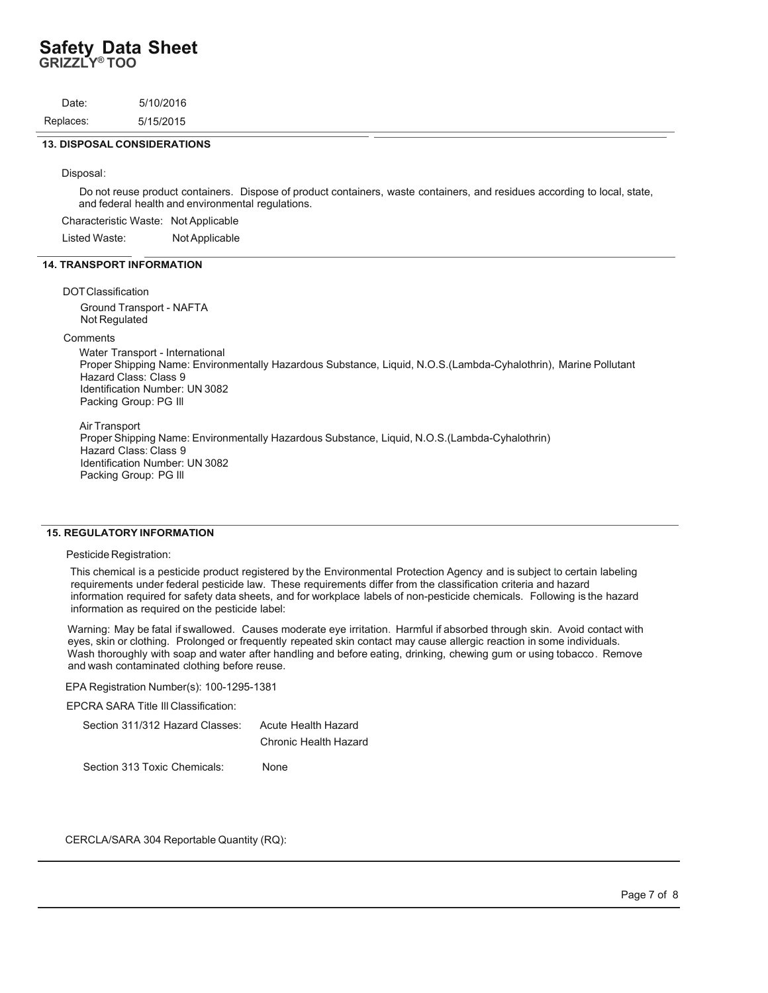## **Safety Data Sheet GRIZZLY® TOO**

| Date:     | 5/10/2016 |  |  |
|-----------|-----------|--|--|
| Replaces: | 5/15/2015 |  |  |
|           |           |  |  |

#### **13. DISPOSAL CONSIDERATIONS**

Disposal:

Do not reuse product containers. Dispose of product containers, waste containers, and residues according to local, state, and federal health and environmental regulations.

Characteristic Waste: Not Applicable

Listed Waste: Not Applicable

#### **14. TRANSPORT INFORMATION**

#### DOT Classification

Ground Transport - NAFTA Not Regulated

#### **Comments**

Water Transport - International Proper Shipping Name: Environmentally Hazardous Substance, Liquid, N.O.S.(Lambda-Cyhalothrin), Marine Pollutant Hazard Class: Class 9 Identification Number: UN 3082 Packing Group: PG Ill

Air Transport

Proper Shipping Name: Environmentally Hazardous Substance, Liquid, N.O.S.(Lambda-Cyhalothrin) Hazard Class: Class 9 Identification Number: UN 3082 Packing Group: PG Ill

#### **15. REGULATORY INFORMATION**

#### Pesticide Registration:

This chemical is a pesticide product registered by the Environmental Protection Agency and is subject to certain labeling requirements under federal pesticide law. These requirements differ from the classification criteria and hazard information required for safety data sheets, and for workplace labels of non-pesticide chemicals. Following is the hazard information as required on the pesticide label:

Warning: May be fatal if swallowed. Causes moderate eye irritation. Harmful if absorbed through skin. Avoid contact with eyes, skin or clothing. Prolonged or frequently repeated skin contact may cause allergic reaction in some individuals. Wash thoroughly with soap and water after handling and before eating, drinking, chewing gum or using tobacco . Remove and wash contaminated clothing before reuse.

EPA Registration Number(s): 100-1295-1381

EPCRA SARA Title Ill Classification:

| Section 311/312 Hazard Classes: | Acute Health Hazard   |  |  |  |
|---------------------------------|-----------------------|--|--|--|
|                                 | Chronic Health Hazard |  |  |  |
| Section 313 Toxic Chemicals:    | None                  |  |  |  |

CERCLA/SARA 304 Reportable Quantity (RQ):